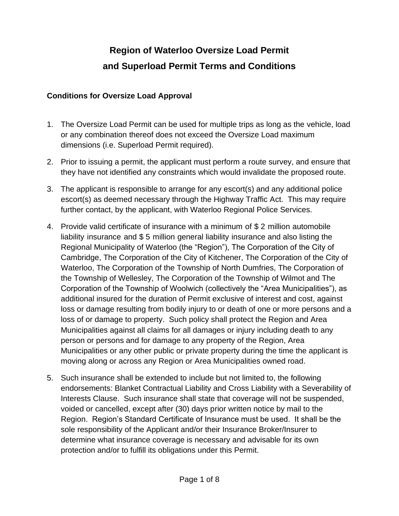## **Region of Waterloo Oversize Load Permit and Superload Permit Terms and Conditions**

## **Conditions for Oversize Load Approval**

- 1. The Oversize Load Permit can be used for multiple trips as long as the vehicle, load or any combination thereof does not exceed the Oversize Load maximum dimensions (i.e. Superload Permit required).
- 2. Prior to issuing a permit, the applicant must perform a route survey, and ensure that they have not identified any constraints which would invalidate the proposed route.
- 3. The applicant is responsible to arrange for any escort(s) and any additional police escort(s) as deemed necessary through the Highway Traffic Act. This may require further contact, by the applicant, with Waterloo Regional Police Services.
- 4. Provide valid certificate of insurance with a minimum of \$ 2 million automobile liability insurance and \$ 5 million general liability insurance and also listing the Regional Municipality of Waterloo (the "Region"), The Corporation of the City of Cambridge, The Corporation of the City of Kitchener, The Corporation of the City of Waterloo, The Corporation of the Township of North Dumfries, The Corporation of the Township of Wellesley, The Corporation of the Township of Wilmot and The Corporation of the Township of Woolwich (collectively the "Area Municipalities"), as additional insured for the duration of Permit exclusive of interest and cost, against loss or damage resulting from bodily injury to or death of one or more persons and a loss of or damage to property. Such policy shall protect the Region and Area Municipalities against all claims for all damages or injury including death to any person or persons and for damage to any property of the Region, Area Municipalities or any other public or private property during the time the applicant is moving along or across any Region or Area Municipalities owned road.
- 5. Such insurance shall be extended to include but not limited to, the following endorsements: Blanket Contractual Liability and Cross Liability with a Severability of Interests Clause. Such insurance shall state that coverage will not be suspended, voided or cancelled, except after (30) days prior written notice by mail to the Region. Region's Standard Certificate of Insurance must be used. It shall be the sole responsibility of the Applicant and/or their Insurance Broker/Insurer to determine what insurance coverage is necessary and advisable for its own protection and/or to fulfill its obligations under this Permit.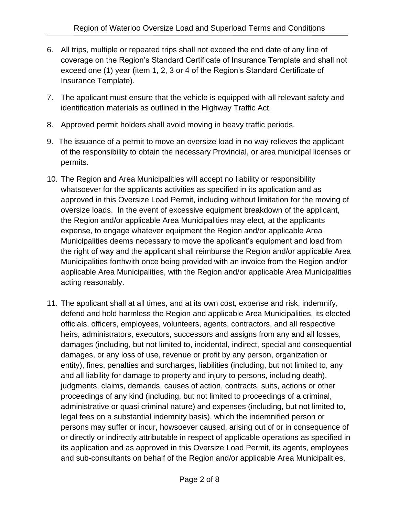- 6. All trips, multiple or repeated trips shall not exceed the end date of any line of coverage on the Region's Standard Certificate of Insurance Template and shall not exceed one (1) year (item 1, 2, 3 or 4 of the Region's Standard Certificate of Insurance Template).
- 7. The applicant must ensure that the vehicle is equipped with all relevant safety and identification materials as outlined in the Highway Traffic Act.
- 8. Approved permit holders shall avoid moving in heavy traffic periods.
- 9. The issuance of a permit to move an oversize load in no way relieves the applicant of the responsibility to obtain the necessary Provincial, or area municipal licenses or permits.
- 10. The Region and Area Municipalities will accept no liability or responsibility whatsoever for the applicants activities as specified in its application and as approved in this Oversize Load Permit, including without limitation for the moving of oversize loads. In the event of excessive equipment breakdown of the applicant, the Region and/or applicable Area Municipalities may elect, at the applicants expense, to engage whatever equipment the Region and/or applicable Area Municipalities deems necessary to move the applicant's equipment and load from the right of way and the applicant shall reimburse the Region and/or applicable Area Municipalities forthwith once being provided with an invoice from the Region and/or applicable Area Municipalities, with the Region and/or applicable Area Municipalities acting reasonably.
- 11. The applicant shall at all times, and at its own cost, expense and risk, indemnify, defend and hold harmless the Region and applicable Area Municipalities, its elected officials, officers, employees, volunteers, agents, contractors, and all respective heirs, administrators, executors, successors and assigns from any and all losses, damages (including, but not limited to, incidental, indirect, special and consequential damages, or any loss of use, revenue or profit by any person, organization or entity), fines, penalties and surcharges, liabilities (including, but not limited to, any and all liability for damage to property and injury to persons, including death), judgments, claims, demands, causes of action, contracts, suits, actions or other proceedings of any kind (including, but not limited to proceedings of a criminal, administrative or quasi criminal nature) and expenses (including, but not limited to, legal fees on a substantial indemnity basis), which the indemnified person or persons may suffer or incur, howsoever caused, arising out of or in consequence of or directly or indirectly attributable in respect of applicable operations as specified in its application and as approved in this Oversize Load Permit, its agents, employees and sub-consultants on behalf of the Region and/or applicable Area Municipalities,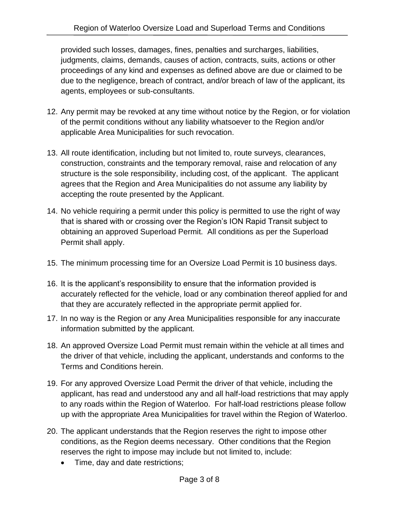provided such losses, damages, fines, penalties and surcharges, liabilities, judgments, claims, demands, causes of action, contracts, suits, actions or other proceedings of any kind and expenses as defined above are due or claimed to be due to the negligence, breach of contract, and/or breach of law of the applicant, its agents, employees or sub-consultants.

- 12. Any permit may be revoked at any time without notice by the Region, or for violation of the permit conditions without any liability whatsoever to the Region and/or applicable Area Municipalities for such revocation.
- 13. All route identification, including but not limited to, route surveys, clearances, construction, constraints and the temporary removal, raise and relocation of any structure is the sole responsibility, including cost, of the applicant. The applicant agrees that the Region and Area Municipalities do not assume any liability by accepting the route presented by the Applicant.
- 14. No vehicle requiring a permit under this policy is permitted to use the right of way that is shared with or crossing over the Region's ION Rapid Transit subject to obtaining an approved Superload Permit. All conditions as per the Superload Permit shall apply.
- 15. The minimum processing time for an Oversize Load Permit is 10 business days.
- 16. It is the applicant's responsibility to ensure that the information provided is accurately reflected for the vehicle, load or any combination thereof applied for and that they are accurately reflected in the appropriate permit applied for.
- 17. In no way is the Region or any Area Municipalities responsible for any inaccurate information submitted by the applicant.
- 18. An approved Oversize Load Permit must remain within the vehicle at all times and the driver of that vehicle, including the applicant, understands and conforms to the Terms and Conditions herein.
- 19. For any approved Oversize Load Permit the driver of that vehicle, including the applicant, has read and understood any and all half-load restrictions that may apply to any roads within the Region of Waterloo. For half-load restrictions please follow up with the appropriate Area Municipalities for travel within the Region of Waterloo.
- 20. The applicant understands that the Region reserves the right to impose other conditions, as the Region deems necessary. Other conditions that the Region reserves the right to impose may include but not limited to, include:
	- Time, day and date restrictions;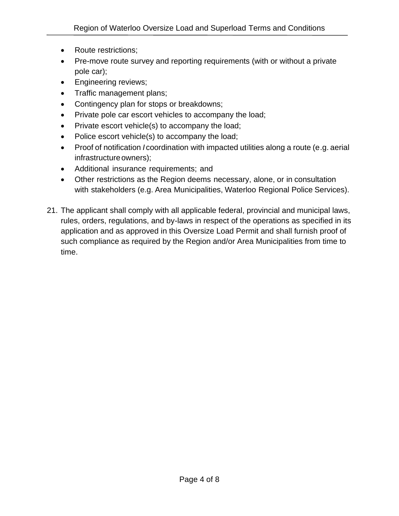- Route restrictions;
- Pre-move route survey and reporting requirements (with or without a private pole car);
- Engineering reviews;
- Traffic management plans;
- Contingency plan for stops or breakdowns;
- Private pole car escort vehicles to accompany the load;
- Private escort vehicle(s) to accompany the load;
- Police escort vehicle(s) to accompany the load;
- Proof of notification *I* coordination with impacted utilities along a route (e.g. aerial infrastructure owners);
- Additional insurance requirements; and
- Other restrictions as the Region deems necessary, alone, or in consultation with stakeholders (e.g. Area Municipalities, Waterloo Regional Police Services).
- 21. The applicant shall comply with all applicable federal, provincial and municipal laws, rules, orders, regulations, and by-laws in respect of the operations as specified in its application and as approved in this Oversize Load Permit and shall furnish proof of such compliance as required by the Region and/or Area Municipalities from time to time.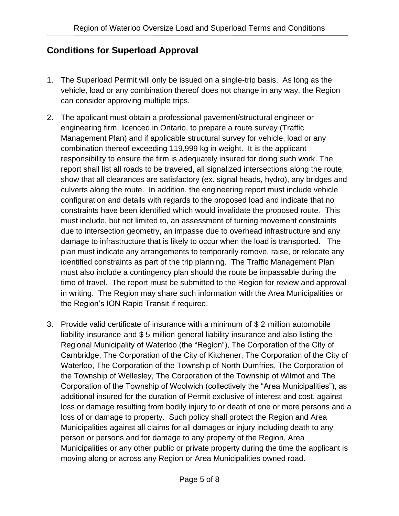## **Conditions for Superload Approval**

- 1. The Superload Permit will only be issued on a single-trip basis. As long as the vehicle, load or any combination thereof does not change in any way, the Region can consider approving multiple trips.
- 2. The applicant must obtain a professional pavement/structural engineer or engineering firm, licenced in Ontario, to prepare a route survey (Traffic Management Plan) and if applicable structural survey for vehicle, load or any combination thereof exceeding 119,999 kg in weight. It is the applicant responsibility to ensure the firm is adequately insured for doing such work. The report shall list all roads to be traveled, all signalized intersections along the route, show that all clearances are satisfactory (ex. signal heads, hydro), any bridges and culverts along the route. In addition, the engineering report must include vehicle configuration and details with regards to the proposed load and indicate that no constraints have been identified which would invalidate the proposed route. This must include, but not limited to, an assessment of turning movement constraints due to intersection geometry, an impasse due to overhead infrastructure and any damage to infrastructure that is likely to occur when the load is transported. The plan must indicate any arrangements to temporarily remove, raise, or relocate any identified constraints as part of the trip planning. The Traffic Management Plan must also include a contingency plan should the route be impassable during the time of travel. The report must be submitted to the Region for review and approval in writing. The Region may share such information with the Area Municipalities or the Region's ION Rapid Transit if required.
- 3. Provide valid certificate of insurance with a minimum of \$ 2 million automobile liability insurance and \$ 5 million general liability insurance and also listing the Regional Municipality of Waterloo (the "Region"), The Corporation of the City of Cambridge, The Corporation of the City of Kitchener, The Corporation of the City of Waterloo, The Corporation of the Township of North Dumfries, The Corporation of the Township of Wellesley, The Corporation of the Township of Wilmot and The Corporation of the Township of Woolwich (collectively the "Area Municipalities"), as additional insured for the duration of Permit exclusive of interest and cost, against loss or damage resulting from bodily injury to or death of one or more persons and a loss of or damage to property. Such policy shall protect the Region and Area Municipalities against all claims for all damages or injury including death to any person or persons and for damage to any property of the Region, Area Municipalities or any other public or private property during the time the applicant is moving along or across any Region or Area Municipalities owned road.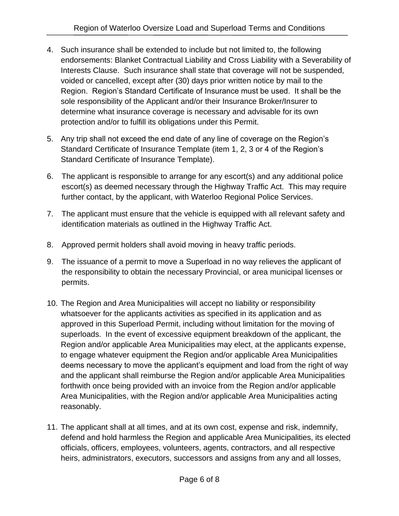- 4. Such insurance shall be extended to include but not limited to, the following endorsements: Blanket Contractual Liability and Cross Liability with a Severability of Interests Clause. Such insurance shall state that coverage will not be suspended, voided or cancelled, except after (30) days prior written notice by mail to the Region. Region's Standard Certificate of Insurance must be used. It shall be the sole responsibility of the Applicant and/or their Insurance Broker/Insurer to determine what insurance coverage is necessary and advisable for its own protection and/or to fulfill its obligations under this Permit.
- 5. Any trip shall not exceed the end date of any line of coverage on the Region's Standard Certificate of Insurance Template (item 1, 2, 3 or 4 of the Region's Standard Certificate of Insurance Template).
- 6. The applicant is responsible to arrange for any escort(s) and any additional police escort(s) as deemed necessary through the Highway Traffic Act. This may require further contact, by the applicant, with Waterloo Regional Police Services.
- 7. The applicant must ensure that the vehicle is equipped with all relevant safety and identification materials as outlined in the Highway Traffic Act.
- 8. Approved permit holders shall avoid moving in heavy traffic periods.
- 9. The issuance of a permit to move a Superload in no way relieves the applicant of the responsibility to obtain the necessary Provincial, or area municipal licenses or permits.
- 10. The Region and Area Municipalities will accept no liability or responsibility whatsoever for the applicants activities as specified in its application and as approved in this Superload Permit, including without limitation for the moving of superloads. In the event of excessive equipment breakdown of the applicant, the Region and/or applicable Area Municipalities may elect, at the applicants expense, to engage whatever equipment the Region and/or applicable Area Municipalities deems necessary to move the applicant's equipment and load from the right of way and the applicant shall reimburse the Region and/or applicable Area Municipalities forthwith once being provided with an invoice from the Region and/or applicable Area Municipalities, with the Region and/or applicable Area Municipalities acting reasonably.
- 11. The applicant shall at all times, and at its own cost, expense and risk, indemnify, defend and hold harmless the Region and applicable Area Municipalities, its elected officials, officers, employees, volunteers, agents, contractors, and all respective heirs, administrators, executors, successors and assigns from any and all losses,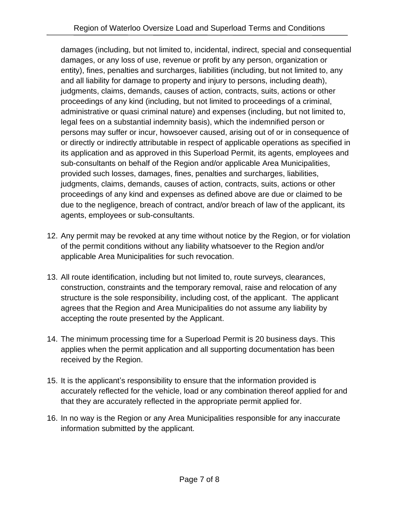damages (including, but not limited to, incidental, indirect, special and consequential damages, or any loss of use, revenue or profit by any person, organization or entity), fines, penalties and surcharges, liabilities (including, but not limited to, any and all liability for damage to property and injury to persons, including death), judgments, claims, demands, causes of action, contracts, suits, actions or other proceedings of any kind (including, but not limited to proceedings of a criminal, administrative or quasi criminal nature) and expenses (including, but not limited to, legal fees on a substantial indemnity basis), which the indemnified person or persons may suffer or incur, howsoever caused, arising out of or in consequence of or directly or indirectly attributable in respect of applicable operations as specified in its application and as approved in this Superload Permit, its agents, employees and sub-consultants on behalf of the Region and/or applicable Area Municipalities, provided such losses, damages, fines, penalties and surcharges, liabilities, judgments, claims, demands, causes of action, contracts, suits, actions or other proceedings of any kind and expenses as defined above are due or claimed to be due to the negligence, breach of contract, and/or breach of law of the applicant, its agents, employees or sub-consultants.

- 12. Any permit may be revoked at any time without notice by the Region, or for violation of the permit conditions without any liability whatsoever to the Region and/or applicable Area Municipalities for such revocation.
- 13. All route identification, including but not limited to, route surveys, clearances, construction, constraints and the temporary removal, raise and relocation of any structure is the sole responsibility, including cost, of the applicant. The applicant agrees that the Region and Area Municipalities do not assume any liability by accepting the route presented by the Applicant.
- 14. The minimum processing time for a Superload Permit is 20 business days. This applies when the permit application and all supporting documentation has been received by the Region.
- 15. It is the applicant's responsibility to ensure that the information provided is accurately reflected for the vehicle, load or any combination thereof applied for and that they are accurately reflected in the appropriate permit applied for.
- 16. In no way is the Region or any Area Municipalities responsible for any inaccurate information submitted by the applicant.